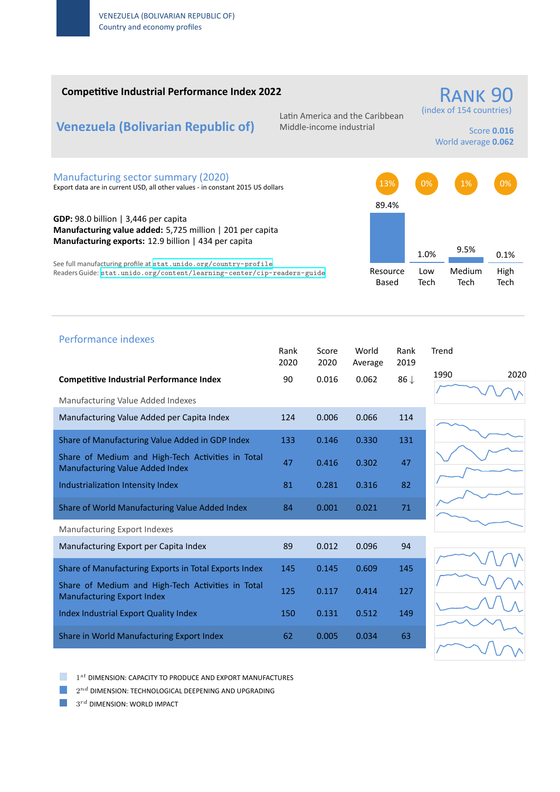### **Competitive Industrial Performance Index 2022**

# **Venezuela (Bolivarian Republic of)**

Latin America and the Caribbean Middle‐income industrial

# (index of 154 countries) Score **0.016**

RANK 90

World average **0.062**

#### Manufacturing sector summary (2020)

Export data are in current USD, all other values ‐ in constant 2015 US dollars

**GDP:** 98.0 billion | 3,446 per capita **Manufacturing value added:** 5,725 million | 201 per capita **Manufacturing exports:** 12.9 billion | 434 per capita

See full manufacturing profile at stat.unido.org/country-profile Readers Guide: stat.unido.org/content/learning-center/cip-readers-guide



# 1990 2020 Performance indexes Rank Score World Rank Trend 2020 2020 Average 2019 **Competitive Industrial Performance Index** 90 0.016 0.062 86 *↓* Manufacturing Value Added Indexes Manufacturing Value Added per Capita Index 124 0.006 0.066 114 Share of Manufacturing Value Added in GDP Index 133 0.146 0.330 131 Share of Medium and High‐Tech Activities in Total Share of Medium and High-fech Activities in Total 47 = 0.416 = 0.302 = 47 Industrialization Intensity Index 81 0.281 0.316 82 Share of World Manufacturing Value Added Index 84 0.001 0.021 71 Manufacturing Export Indexes Manufacturing Export per Capita Index 89 0.012 0.096 94 Share of Manufacturing Exports in Total Exports Index 145 0.145 0.609 145 Share of Medium and High‐Tech Activities in Total Share of Medium and High-Tech Activities in Total 125 0.117 0.414 127 Index Industrial Export Quality Index 150 0.131 0.512 149 Share in World Manufacturing Export Index 62 0.005 0.034 63

1 *st* DIMENSION: CAPACITY TO PRODUCE AND EXPORT MANUFACTURES

 $2^{nd}$  DIMENSION: TECHNOLOGICAL DEEPENING AND UPGRADING

 $3^{rd}$  DIMENSION: WORLD IMPACT